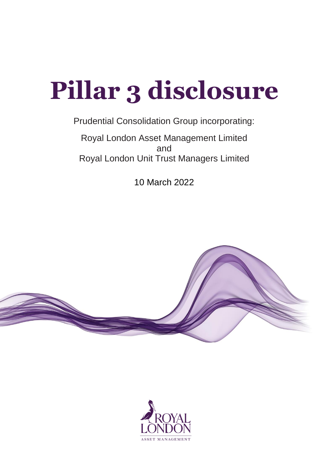

# Prudential Consolidation Group incorporating:

Royal London Asset Management Limited and Royal London Unit Trust Managers Limited

10 March 2022



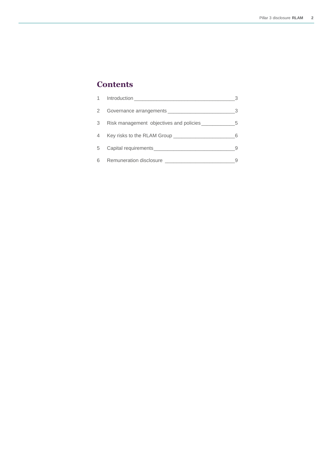# **Contents**

|  | 3  |
|--|----|
|  | -3 |
|  |    |
|  | 6  |
|  |    |
|  |    |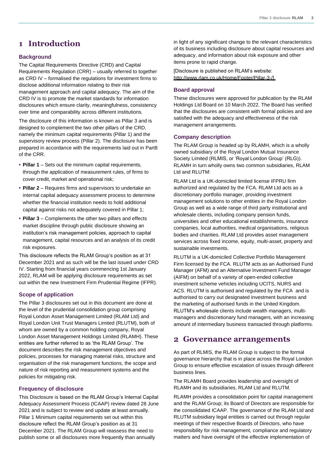# <span id="page-2-0"></span>**1 Introduction**

#### **Background**

The Capital Requirements Directive (CRD) and Capital Requirements Regulation (CRR) – usually referred to together as CRD IV – formalised the regulations for investment firms to disclose additional information relating to their risk management approach and capital adequacy. The aim of the CRD IV is to promote the market standards for information disclosures which ensure clarity, meaningfulness, consistency over time and comparability across different institutions.

The disclosure of this information is known as Pillar 3 and is designed to complement the two other pillars of the CRD, namely the minimum capital requirements (Pillar 1) and the supervisory review process (Pillar 2). The disclosure has been prepared in accordance with the requirements laid out in Part8 of the CRR.

- **Pillar 1** Sets out the minimum capital requirements, through the application of measurement rules, of firms to cover credit, market and operational risk;
- **• Pillar 2** Requires firms and supervisors to undertake an internal capital adequacy assessment process to determine whether the financial institution needs to hold additional capital against risks not adequately covered in Pillar 1;
- **• Pillar 3** Complements the other two pillars and effects market discipline through public disclosure showing an institution's risk management policies, approach to capital management, capital resources and an analysis of its credit risk exposures.

This disclosure reflects the RLAM Group's position as at 31 December 2021 and as such will be the last issued under CRD IV. Starting from financial years commencing 1st January 2022, RLAM will be applying disclosure requirements as set out within the new Investment Firm Prudential Regime (IFPR).

#### **Scope of application**

The Pillar 3 disclosures set out in this document are done at the level of the prudential consolidation group comprising Royal London Asset Management Limited (RLAM Ltd) and Royal London Unit Trust Managers Limited (RLUTM), both of whom are owned by a common holding company, Royal London Asset Management Holdings Limited (RLAMH). These entities are further referred to as 'the RLAM Group'. The document describes the risk management objectives and policies, processes for managing material risks, structure and organisation of the risk management functions, the scope and nature of risk reporting and measurement systems and the policies for mitigating risk.

#### **Frequency of disclosure**

This Disclosure is based on the RLAM Group's Internal Capital Adequacy Assessment Process (ICAAP) review dated 28 June 2021 and is subject to review and update at least annually. Pillar 1 Minimum capital requirements set out within this disclosure reflect the RLAM Group's position as at 31 December 2021. The RLAM Group will reassess the need to publish some or all disclosures more frequently than annually

in light of any significant change to the relevant characteristics of its business including disclosure about capital resources and adequacy, and information about risk exposure and other items prone to rapid change.

[Disclosure is published on RLAM's website: [http://www.rlam.co.uk/Home/Footer/Pillar-3-/\]](http://www.rlam.co.uk/Home/Footer/Pillar-3-/)

#### **Board approval**

These disclosures were approved for publication by the RLAM Holdings Ltd Board on 10 March 2022. The Board has verified that the disclosures are consistent with formal policies and are satisfied with the adequacy and effectiveness of the risk management arrangements.

#### **Company description**

The RLAM Group is headed up by RLAMH, which is a wholly owned subsidiary of the Royal London Mutual Insurance Society Limited (RLMIS, or 'Royal London Group' (RLG)). RLAMH in turn wholly owns two common subsidiaries, RLAM Ltd and RLUTM:

RLAM Ltd is a UK-domiciled limited license IFPRU firm authorized and regulated by the FCA. RLAM Ltd acts as a discretionary portfolio manager, providing investment management solutions to other entities in the Royal London Group as well as a wide range of third party institutional and wholesale clients, including company pension funds, universities and other educational establishments, insurance companies, local authorities, medical organisations, religious bodies and charities. RLAM Ltd provides asset management services across fixed income, equity, multi-asset, property and sustainable investments.

RLUTM is a UK-domiciled Collective Portfolio Management Firm licensed by the FCA. RLUTM acts as an Authorised Fund Manager (AFM) and an Alternative Investment Fund Manager (AIFM) on behalf of a variety of open-ended collective investment scheme vehicles including UCITS, NURS and ACS. RLUTM is authorised and regulated by the FCA and is authorised to carry out designated investment business and the marketing of authorised funds in the United Kingdom. RLUTM's wholesale clients include wealth managers, multimanagers and discretionary fund managers, with an increasing amount of intermediary business transacted through platforms.

# <span id="page-2-1"></span>**2 Governance arrangements**

As part of RLMIS, the RLAM Group is subject to the formal governance hierarchy that is in place across the Royal London Group to ensure effective escalation of issues through different business lines.

The RLAMH Board provides leadership and oversight of RLAMH and its subsidiaries, RLAM Ltd and RLUTM.

RLAMH provides a consolidation point for capital management and the RLAM Group; its Board of Directors are responsible for the consolidated ICAAP. The governance of the RLAM Ltd and RLUTM subsidiary legal entities is carried out through regular meetings of their respective Boards of Directors, who have responsibility for risk management, compliance and regulatory matters and have oversight of the effective implementation of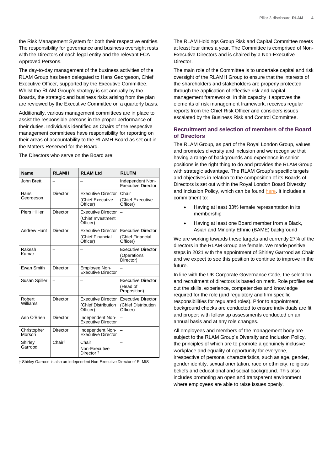the Risk Management System for both their respective entities. The responsibility for governance and business oversight rests with the Directors of each legal entity and the relevant FCA Approved Persons.

The day-to-day management of the business activities of the RLAM Group has been delegated to Hans Georgeson, Chief Executive Officer, supported by the Executive Committee. Whilst the RLAM Group's strategy is set annually by the Boards, the strategic and business risks arising from the plan are reviewed by the Executive Committee on a quarterly basis.

Additionally, various management committees are in place to assist the responsible persons in the proper performance of their duties. Individuals identified as Chairs of the respective management committees have responsibility for reporting on their areas of accountability to the RLAMH Board as set out in the Matters Reserved for the Board.

| <b>Name</b>           | <b>RLAMH</b>       | <b>RLAM Ltd</b>                                            | <b>RLUTM</b>                                                 |
|-----------------------|--------------------|------------------------------------------------------------|--------------------------------------------------------------|
| John Brett            |                    |                                                            | Independent Non-<br><b>Executive Director</b>                |
| Hans<br>Georgeson     | Director           | <b>Executive Director</b><br>(Chief Executive<br>Officer)  | Chair<br>(Chief Executive<br>Officer)                        |
| Piers Hillier         | Director           | <b>Executive Director</b><br>(Chief Investment<br>Officer) |                                                              |
| <b>Andrew Hunt</b>    | Director           | <b>Executive Director</b><br>(Chief Financial<br>Officer)  | <b>Executive Director</b><br>(Chief Financial<br>Officer)    |
| Rakesh<br>Kumar       |                    |                                                            | <b>Executive Director</b><br>(Operations<br>Director)        |
| Ewan Smith            | Director           | Employee Non-<br><b>Executive Director</b>                 |                                                              |
| Susan Spiller         |                    |                                                            | <b>Executive Director</b><br>(Head of<br>Proposition)        |
| Robert<br>Williams    | Director           | Executive Director<br>(Chief Distribution<br>Officer)      | <b>Executive Director</b><br>(Chief Distribution<br>Officer) |
| Ann O'Brien           | Director           | Independent Non-<br><b>Executive Director</b>              |                                                              |
| Christopher<br>Morson | Director           | Independent Non-<br><b>Executive Director</b>              |                                                              |
| Shirley<br>Garrood    | Chair <sup>†</sup> | Chair<br>Non-Executive<br>Director $†$                     |                                                              |

The Directors who serve on the Board are:

† Shirley Garrood is also an Independent Non-Executive Director of RLMIS

The RLAM Holdings Group Risk and Capital Committee meets at least four times a year. The Committee is comprised of Non-Executive Directors and is chaired by a Non-Executive Director.

The main role of the Committee is to undertake capital and risk oversight of the RLAMH Group to ensure that the interests of the shareholders and stakeholders are properly protected through the application of effective risk and capital management frameworks; in this capacity it approves the elements of risk management framework, receives regular reports from the Chief Risk Officer and considers issues escalated by the Business Risk and Control Committee.

### **Recruitment and selection of members of the Board of Directors**

The RLAM Group, as part of the Royal London Group, values and promotes diversity and inclusion and we recognise that having a range of backgrounds and experience in senior positions is the right thing to do and provides the RLAM Group with strategic advantage. The RLAM Group's specific targets and objectives in relation to the composition of its Boards of Directors is set out within the Royal London Board Diversity and Inclusion Policy, which can be found [here.](https://www.royallondon.com/siteassets/site-docs/about-us/corporate-goverance/board-diversity-and-inclusion-policy.pdf) It includes a commitment to:

- Having at least 33% female representation in its membership
- Having at least one Board member from a Black, Asian and Minority Ethnic (BAME) background

We are working towards these targets and currently 27% of the directors in the RLAM Group are female. We made positive steps in 2021 with the appointment of Shirley Garrood as Chair and we expect to see this position to continue to improve in the future.

In line with the UK Corporate Governance Code, the selection and recruitment of directors is based on merit. Role profiles set out the skills, experience, competencies and knowledge required for the role (and regulatory and firm specific responsibilities for regulated roles). Prior to appointment, background checks are conducted to ensure individuals are fit and proper; with follow up assessments conducted on an annual basis and at any role changes.

All employees and members of the management body are subject to the RLAM Group's Diversity and Inclusion Policy, the principles of which are to promote a genuinely inclusive workplace and equality of opportunity for everyone, irrespective of personal characteristics, such as age, gender, gender identity, sexual orientation, race or ethnicity, religious beliefs and educational and social background. This also includes promoting an open and transparent environment where employees are able to raise issues openly.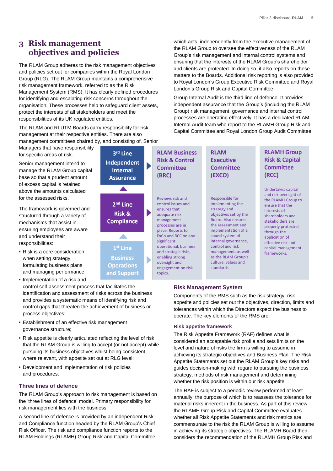# <span id="page-4-0"></span>**3 Risk management objectives and policies**

The RLAM Group adheres to the risk management objectives and policies set out for companies within the Royal London Group (RLG). The RLAM Group maintains a comprehensive risk management framework, referred to as the Risk Management System (RMS). It has clearly defined procedures for identifying and escalating risk concerns throughout the organisation. These processes help to safeguard client assets, protect the interests of all stakeholders and meet the responsibilities of its UK regulated entities.

The RLAM and RLUTM Boards carry responsibility for risk management at their respective entities. There are also management committees chaired by, and consisting of, Senior which acts independently from the executive management of the RLAM Group to oversee the effectiveness of the RLAM Group's risk management and internal control systems and ensuring that the interests of the RLAM Group's shareholder and clients are protected. In doing so, it also reports on these matters to the Boards. Additional risk reporting is also provided to Royal London's Group Executive Risk Committee and Royal London's Group Risk and Capital Committee.

Group Internal Audit is the third line of defence. It provides independent assurance that the Group's (including the RLAM Group) risk management, governance and internal control processes are operating effectively. It has a dedicated RLAM Internal Audit team who report to the RLAMH Group Risk and Capital Committee and Royal London Group Audit Committee.

Managers that have responsibility for specific areas of risk. Senior management intend to

manage the RLAM Group capital base so that a prudent amount of excess capital is retained above the amounts calculated for the assessed risks.

The framework is governed and structured through a variety of mechanisms that assist in ensuring employees are aware and understand their responsibilities:

- **•** Risk is a core consideration when setting strategy, formulating business plans and managing performance;
- **•** Implementation of a risk and control self-assessment process that facilitates the identification and assessment of risks across the business and provides a systematic means of identifying risk and control gaps that threaten the achievement of business or process objectives;
- **•** Establishment of an effective risk management governance structure;
- **•** Risk appetite is clearly articulated reflecting the level of risk that the RLAM Group is willing to accept (or not accept) while pursuing its business objectives whilst being consistent, where relevant, with appetite set out at RLG level;
- **•** Development and implementation of risk policies and procedures.

## **Three lines of defence**

The RLAM Group's approach to risk management is based on the 'three lines of defence' model. Primary responsibility for risk management lies with the business.

A second line of defence is provided by an independent Risk and Compliance function headed by the RLAM Group's Chief Risk Officer. The risk and compliance function reports to the RLAM Holdings (RLAMH) Group Risk and Capital Committee,



appetite and policies set out the objectives, direction, limits and tolerances within which the Directors expect the business to operate. The key elements of the RMS are:

### **Risk appetite framework**

The Risk Appetite Framework (RAF) defines what is considered an acceptable risk profile and sets limits on the level and nature of risks the firm is willing to assume in achieving its strategic objectives and Business Plan. The Risk Appetite Statements set out the RLAM Group's key risks and guides decision-making with regard to pursuing the business strategy, methods of risk management and determining whether the risk position is within our risk appetite.

The RAF is subject to a periodic review performed at least annually, the purpose of which is to reassess the tolerance for material risks inherent in the business. As part of this review, the RLAMH Group Risk and Capital Committee evaluates whether all Risk Appetite Statements and risk metrics are commensurate to the risk the RLAM Group is willing to assume in achieving its strategic objectives. The RLAMH Board then considers the recommendation of the RLAMH Group Risk and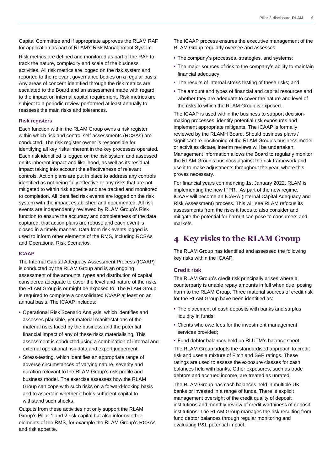Capital Committee and if appropriate approves the RLAM RAF for application as part of RLAM's Risk Management System.

Risk metrics are defined and monitored as part of the RAF to track the nature, complexity and scale of the business activities. All risk metrics are logged on the risk system and reported to the relevant governance bodies on a regular basis. Any areas of concern identified through the risk metrics are escalated to the Board and an assessment made with regard to the impact on internal capital requirement. Risk metrics are subject to a periodic review performed at least annually to reassess the main risks and tolerances.

#### **Risk registers**

Each function within the RLAM Group owns a risk register within which risk and control self-assessments (RCSAs) are conducted. The risk register owner is responsible for identifying all key risks inherent in the key processes operated. Each risk identified is logged on the risk system and assessed on its inherent impact and likelihood, as well as its residual impact taking into account the effectiveness of relevant controls. Action plans are put in place to address any controls identified as not being fully effective or any risks that are not mitigated to within risk appetite and are tracked and monitored to completion. All identified risk events are logged on the risk system with the impact established and documented. All risk events are independently reviewed by RLAM Group's Risk function to ensure the accuracy and completeness of the data captured, that action plans are robust, and each event is closed in a timely manner. Data from risk events logged is used to inform other elements of the RMS, including RCSAs and Operational Risk Scenarios.

### **ICAAP**

The Internal Capital Adequacy Assessment Process (ICAAP) is conducted by the RLAM Group and is an ongoing assessment of the amounts, types and distribution of capital considered adequate to cover the level and nature of the risks the RLAM Group is or might be exposed to. The RLAM Group is required to complete a consolidated ICAAP at least on an annual basis. The ICAAP includes:

- **•** Operational Risk Scenario Analysis, which identifies and assesses plausible, yet material manifestations of the material risks faced by the business and the potential financial impact of any of these risks materialising. This assessment is conducted using a combination of internal and external operational risk data and expert judgement.
- **•** Stress-testing, which identifies an appropriate range of adverse circumstances of varying nature, severity and duration relevant to the RLAM Group's risk profile and business model. The exercise assesses how the RLAM Group can cope with such risks on a forward-looking basis and to ascertain whether it holds sufficient capital to withstand such shocks.

Outputs from these activities not only support the RLAM Group's Pillar 1 and 2 risk capital but also informs other elements of the RMS, for example the RLAM Group's RCSAs and risk appetite.

The ICAAP process ensures the executive management of the RLAM Group regularly oversee and assesses:

- **•** The company's processes, strategies, and systems;
- **•** The major sources of risk to the company's ability to maintain financial adequacy;
- **•** The results of internal stress testing of these risks; and
- **•** The amount and types of financial and capital resources and whether they are adequate to cover the nature and level of the risks to which the RLAM Group is exposed.

The ICAAP is used within the business to support decisionmaking processes, identify potential risk exposures and implement appropriate mitigants. The ICAAP is formally reviewed by the RLAMH Board. Should business plans / significant re-positioning of the RLAM Group's business model or activities dictate, interim reviews will be undertaken. Management information allows the Board to regularly monitor the RLAM Group's business against the risk framework and use it to make adjustments throughout the year, where this proves necessary.

For financial years commencing 1st January 2022, RLAM is implementing the new IFPR. As part of the new regime, ICAAP will become an ICARA (Internal Capital Adequacy and Risk Assessment) process. This will see RLAM refocus its assessments from the risks it faces to also consider and mitigate the potential for harm it can pose to consumers and markets.

# <span id="page-5-0"></span>**4 Key risks to the RLAM Group**

The RLAM Group has identified and assessed the following key risks within the ICAAP:

#### **Credit risk**

The RLAM Group's credit risk principally arises where a counterparty is unable repay amounts in full when due, posing harm to the RLAM Group. Three material sources of credit risk for the RLAM Group have been identified as:

- **•** The placement of cash deposits with banks and surplus liquidity in funds;
- **•** Clients who owe fees for the investment management services provided;
- **•** Fund debtor balances held on RLUTM's balance sheet.

The RLAM Group adopts the standardised approach to credit risk and uses a mixture of Fitch and S&P ratings. These ratings are used to assess the exposure classes for cash balances held with banks. Other exposures, such as trade debtors and accrued income, are treated as unrated.

The RLAM Group has cash balances held in multiple UK banks or invested in a range of funds. There is explicit management oversight of the credit quality of deposit institutions and monthly review of credit worthiness of deposit institutions. The RLAM Group manages the risk resulting from fund debtor balances through regular monitoring and evaluating P&L potential impact.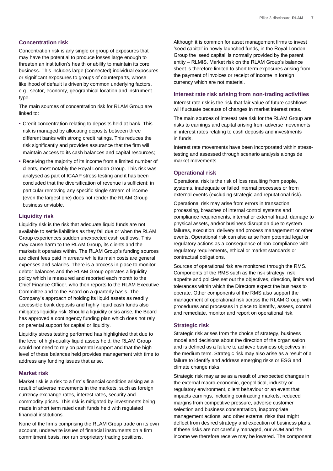### **Concentration risk**

Concentration risk is any single or group of exposures that may have the potential to produce losses large enough to threaten an institution's health or ability to maintain its core business. This includes large (connected) individual exposures or significant exposures to groups of counterparts, whose likelihood of default is driven by common underlying factors, e.g., sector, economy, geographical location and instrument type.

The main sources of concentration risk for RLAM Group are linked to:

- **•** Credit concentration relating to deposits held at bank. This risk is managed by allocating deposits between three different banks with strong credit ratings. This reduces the risk significantly and provides assurance that the firm will maintain access to its cash balances and capital resources;
- **•** Receiving the majority of its income from a limited number of clients, most notably the Royal London Group. This risk was analysed as part of ICAAP stress testing and it has been concluded that the diversification of revenue is sufficient; in particular removing any specific single stream of income (even the largest one) does not render the RLAM Group business unviable.

#### **Liquidity risk**

Liquidity risk is the risk that adequate liquid funds are not available to settle liabilities as they fall due or when the RLAM Group experiences sudden unexpected cash outflows. This may cause harm to the RLAM Group, its clients and the markets it operates within. The RLAM Group's funding sources are client fees paid in arrears while its main costs are general expenses and salaries. There is a process in place to monitor debtor balances and the RLAM Group operates a liquidity policy which is measured and reported each month to the Chief Finance Officer, who then reports to the RLAM Executive Committee and to the Board on a quarterly basis. The Company's approach of holding its liquid assets as readily accessible bank deposits and highly liquid cash funds also mitigates liquidity risk. Should a liquidity crisis arise, the Board has approved a contingency funding plan which does not rely on parental support for capital or liquidity.

Liquidity stress testing performed has highlighted that due to the level of high-quality liquid assets held, the RLAM Group would not need to rely on parental support and that the high level of these balances held provides management with time to address any funding issues that arise.

#### **Market risk**

Market risk is a risk to a firm's financial condition arising as a result of adverse movements in the markets, such as foreign currency exchange rates, interest rates, security and commodity prices. This risk is mitigated by investments being made in short term rated cash funds held with regulated financial institutions.

None of the firms comprising the RLAM Group trade on its own account, underwrite issues of financial instruments on a firm commitment basis, nor run proprietary trading positions.

Although it is common for asset management firms to invest 'seed capital' in newly launched funds, in the Royal London Group the 'seed capital' is normally provided by the parent entity – RLMIS. Market risk on the RLAM Group's balance sheet is therefore limited to short term exposures arising from the payment of invoices or receipt of income in foreign currency which are not material.

#### **Interest rate risk arising from non-trading activities**

Interest rate risk is the risk that fair value of future cashflows will fluctuate because of changes in market interest rates.

The main sources of interest rate risk for the RLAM Group are risks to earnings and capital arising from adverse movements in interest rates relating to cash deposits and investments in funds.

Interest rate movements have been incorporated within stresstesting and assessed through scenario analysis alongside market movements.

#### **Operational risk**

Operational risk is the risk of loss resulting from people, systems, inadequate or failed internal processes or from external events (excluding strategic and reputational risk).

Operational risk may arise from errors in transaction processing, breaches of internal control systems and compliance requirements, internal or external fraud, damage to physical assets, and/or business disruption due to system failures, execution, delivery and process management or other events. Operational risk can also arise from potential legal or regulatory actions as a consequence of non-compliance with regulatory requirements, ethical or market standards or contractual obligations.

Sources of operational risk are monitored through the RMS. Components of the RMS such as the risk strategy, risk appetite and policies set out the objectives, direction, limits and tolerances within which the Directors expect the business to operate. Other components of the RMS also support the management of operational risk across the RLAM Group, with procedures and processes in place to identify, assess, control and remediate, monitor and report on operational risk.

#### **Strategic risk**

Strategic risk arises from the choice of strategy, business model and decisions about the direction of the organisation and is defined as a failure to achieve business objectives in the medium term. Strategic risk may also arise as a result of a failure to identify and address emerging risks or ESG and climate change risks.

Strategic risk may arise as a result of unexpected changes in the external macro-economic, geopolitical, industry or regulatory environment, client behaviour or an event that impacts earnings, including contracting markets, reduced margins from competitive pressure, adverse customer selection and business concentration, inappropriate management actions, and other external risks that might deflect from desired strategy and execution of business plans. If these risks are not carefully managed, our AUM and the income we therefore receive may be lowered. The component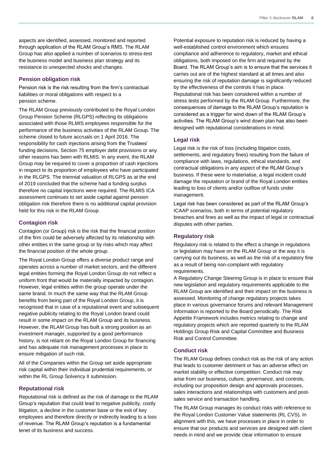aspects are identified, assessed, monitored and reported through application of the RLAM Group's RMS. The RLAM Group has also applied a number of scenarios to stress-test the business model and business plan strategy and its resistance to unexpected shocks and changes.

#### **Pension obligation risk**

Pension risk is the risk resulting from the firm's contractual liabilities or moral obligations with respect to a pension scheme.

The RLAM Group previously contributed to the Royal London Group Pension Scheme (RLGPS) reflecting its obligations associated with those RLMIS employees responsible for the performance of the business activities of the RLAM Group. The scheme closed to future accruals on 1 April 2016. The responsibility for cash injections arising from the Trustees' funding decisions, Section 75 employer debt provisions or any other reasons has been with RLMIS. In any event, the RLAM Group may be required to cover a proportion of cash injections in respect to its proportion of employees who have participated in the RLGPS. The triennial valuation of RLGPS as at the end of 2019 concluded that the scheme had a funding surplus therefore no capital injections were required. The RLMIS ICA assessment continues to set aside capital against pension obligation risk therefore there is no additional capital provision held for this risk in the RLAM Group.

#### **Contagion risk**

Contagion (or Group) risk is the risk that the financial position of the firm could be adversely affected by its relationship with other entities in the same group or by risks which may affect the financial position of the whole group.

The Royal London Group offers a diverse product range and operates across a number of market sectors, and the different legal entities forming the Royal London Group do not reflect a uniform front that would be materially impacted by contagion. However, legal entities within the group operate under the same brand. In much the same way that the RLAM Group benefits from being part of the Royal London Group, it is recognised that in case of a reputational event and subsequent negative publicity relating to the Royal London brand could result in some impact on the RLAM Group and its business. However, the RLAM Group has built a strong position as an investment manager, supported by a good performance history, is not reliant on the Royal London Group for financing and has adequate risk management processes in place to ensure mitigation of such risk.

All of the Companies within the Group set aside appropriate risk capital within their individual prudential requirements, or within the RL Group Solvency II submission.

#### **Reputational risk**

Reputational risk is defined as the risk of damage to the RLAM Group's reputation that could lead to negative publicity, costly litigation, a decline in the customer base or the exit of key employees and therefore directly or indirectly leading to a loss of revenue. The RLAM Group's reputation is a fundamental tenet of its business and success.

Potential exposure to reputation risk is reduced by having a well-established control environment which ensures compliance and adherence to regulatory, market and ethical obligations, both imposed on the firm and required by the Board. The RLAM Group's aim is to ensure that the services it carries out are of the highest standard at all times and also ensuring the risk of reputation damage is significantly reduced by the effectiveness of the controls it has in place. Reputational risk has been considered within a number of stress tests performed by the RLAM Group. Furthermore, the consequences of damage to the RLAM Group's reputation is considered as a trigger for wind down of the RLAM Group's activities. The RLAM Group's wind down plan has also been designed with reputational considerations in mind.

#### **Legal risk**

Legal risk is the risk of loss (including litigation costs, settlements, and regulatory fines) resulting from the failure of compliance with laws, regulations, ethical standards, and contractual obligations in any aspect of the RLAM Group's business. If these were to materialise, a legal incident could damage the reputation or brand of the Royal London entities leading to loss of clients and/or outflow of funds under management.

Legal risk has been considered as part of the RLAM Group's ICAAP scenarios, both in terms of potential regulatory breaches and fines as well as the impact of legal or contractual disputes with other parties.

#### **Regulatory risk**

Regulatory risk is related to the effect a change in regulations or legislation may have on the RLAM Group or the way it is carrying out its business, as well as the risk of a regulatory fine as a result of being non-complaint with regulatory requirements.

A Regulatory Change Steering Group is in place to ensure that new legislation and regulatory requirements applicable to the RLAM Group are identified and their impact on the business is assessed. Monitoring of change regulatory projects takes place in various governance forums and relevant Management Information is reported to the Board periodically. The Risk Appetite Framework includes metrics relating to change and regulatory projects which are reported quarterly to the RLAM Holdings Group Risk and Capital Committee and Business Risk and Control Committee.

### **Conduct risk**

The RLAM Group defines conduct risk as the risk of any action that leads to customer detriment or has an adverse effect on market stability or effective competition. Conduct risk may arise from our business, culture, governance, and controls, including our proposition design and approvals processes, sales interactions and relationships with customers and postsales service and transaction handling.

The RLAM Group manages its conduct risks with reference to the Royal London Customer Value statements (RL CVS). In alignment with this, we have processes in place in order to ensure that our products and services are designed with client needs in mind and we provide clear information to ensure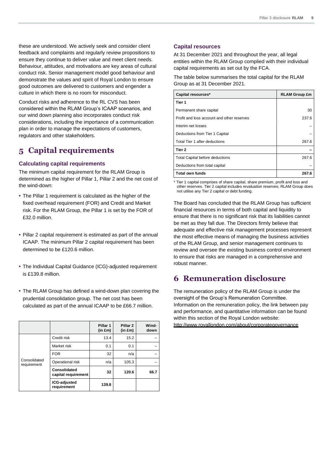these are understood. We actively seek and consider client feedback and complaints and regularly review propositions to ensure they continue to deliver value and meet client needs. Behaviour, attitudes, and motivations are key areas of cultural conduct risk. Senior management model good behaviour and demonstrate the values and spirit of Royal London to ensure good outcomes are delivered to customers and engender a culture in which there is no room for misconduct.

Conduct risks and adherence to the RL CVS has been considered within the RLAM Group's ICAAP scenarios, and our wind down planning also incorporates conduct risk considerations, including the importance of a communication plan in order to manage the expectations of customers, regulators and other stakeholders.

# <span id="page-8-0"></span>**5 Capital requirements**

### **Calculating capital requirements**

The minimum capital requirement for the RLAM Group is determined as the higher of Pillar 1, Pillar 2 and the net cost of the wind-down:

- **•** The Pillar 1 requirement is calculated as the higher of the fixed overhead requirement (FOR) and Credit and Market risk. For the RLAM Group, the Pillar 1 is set by the FOR of £32.0 million.
- **•** Pillar 2 capital requirement is estimated as part of the annual ICAAP. The minimum Pillar 2 capital requirement has been determined to be £120.6 million.
- **•** The Individual Capital Guidance (ICG)-adjusted requirement is £139.8 million.
- **•** The RLAM Group has defined a wind-down plan covering the prudential consolidation group. The net cost has been calculated as part of the annual ICAAP to be £66.7 million.

|                             |                                     | Pillar 1<br>$(in \, \pounds m)$ | Pillar <sub>2</sub><br>$(in \, \pounds m)$ | Wind-<br>down |
|-----------------------------|-------------------------------------|---------------------------------|--------------------------------------------|---------------|
|                             | Credit risk                         | 13.4                            | 15.2                                       |               |
|                             | Market risk                         | 0.1                             | 0.1                                        |               |
|                             | <b>FOR</b>                          | 32                              | n/a                                        |               |
| Consolidated<br>requirement | Operational risk                    | n/a                             | 105.3                                      |               |
|                             | Consolidated<br>capital requirement | 32                              | 120.6                                      | 66.7          |
|                             | ICG-adjusted<br>requirement         | 139.8                           |                                            |               |

### **Capital resources**

At 31 December 2021 and throughout the year, all legal entities within the RLAM Group complied with their individual capital requirements as set out by the FCA.

The table below summarises the total capital for the RLAM Group as at 31 December 2021.

| Capital resources*                         | <b>RLAM Group £m</b> |  |
|--------------------------------------------|----------------------|--|
| Tier 1                                     |                      |  |
| Permanent share capital                    | 30                   |  |
| Profit and loss account and other reserves | 237.6                |  |
| Interim net losses                         |                      |  |
| Deductions from Tier 1 Capital             |                      |  |
| Total Tier 1 after deductions              | 267.6                |  |
| Tier 2                                     |                      |  |
| <b>Total Capital before deductions</b>     | 267.6                |  |
| Deductions from total capital              |                      |  |
| <b>Total own funds</b>                     | 267.6                |  |

\* Tier 1 capital comprises of share capital, share premium, profit and loss and other reserves. Tier 2 capital includes revaluation reserves; RLAM Group does not utilise any Tier 2 capital or debt funding.

The Board has concluded that the RLAM Group has sufficient financial resources in terms of both capital and liquidity to ensure that there is no significant risk that its liabilities cannot be met as they fall due. The Directors firmly believe that adequate and effective risk management processes represent the most effective means of managing the business activities of the RLAM Group, and senior management continues to review and oversee the existing business control environment to ensure that risks are managed in a comprehensive and robust manner.

# <span id="page-8-1"></span>**6 Remuneration disclosure**

The remuneration policy of the RLAM Group is under the oversight of the Group's Remuneration Committee. Information on the remuneration policy, the link between pay and performance, and quantitative information can be found within this section of the Royal London website: [http://www.royallondon.com/about/corporategovernance](http://www.royallondon.com/about/corporategovernance/remuneration/)